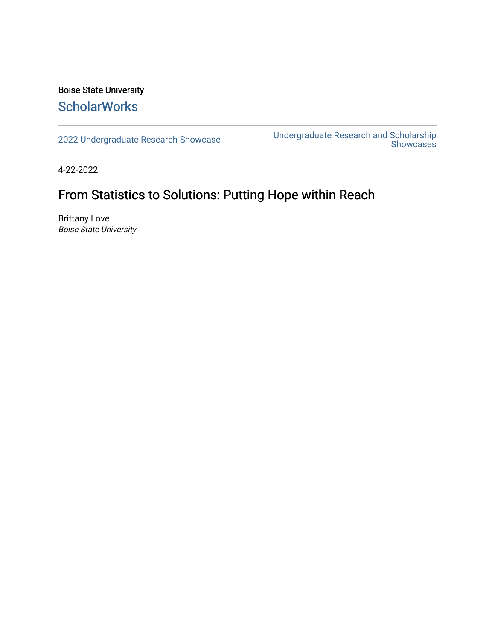#### Boise State University **ScholarWorks**

[2022 Undergraduate Research Showcase](https://scholarworks.boisestate.edu/under_showcase_2022) [Undergraduate Research and Scholarship](https://scholarworks.boisestate.edu/under_conference)  [Showcases](https://scholarworks.boisestate.edu/under_conference) 

4-22-2022

#### From Statistics to Solutions: Putting Hope within Reach

Brittany Love Boise State University